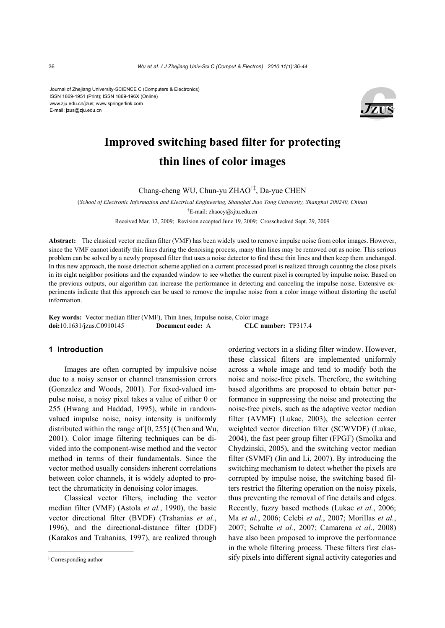Journal of Zhejiang University-SCIENCE C (Computers & Electronics) ISSN 1869-1951 (Print); ISSN 1869-196X (Online) www.zju.edu.cn/jzus; www.springerlink.com E-mail: jzus@zju.edu.cn



# **Improved switching based filter for protecting thin lines of color images**

Chang-cheng WU, Chun-yu ZHAO†‡, Da-yue CHEN

(*School of Electronic Information and Electrical Engineering, Shanghai Jiao Tong University, Shanghai 200240, China*) † E-mail: zhaocy@sjtu.edu.cn

Received Mar. 12, 2009; Revision accepted June 19, 2009; Crosschecked Sept. 29, 2009

**Abstract:** The classical vector median filter (VMF) has been widely used to remove impulse noise from color images. However, since the VMF cannot identify thin lines during the denoising process, many thin lines may be removed out as noise. This serious problem can be solved by a newly proposed filter that uses a noise detector to find these thin lines and then keep them unchanged. In this new approach, the noise detection scheme applied on a current processed pixel is realized through counting the close pixels in its eight neighbor positions and the expanded window to see whether the current pixel is corrupted by impulse noise. Based on the previous outputs, our algorithm can increase the performance in detecting and canceling the impulse noise. Extensive experiments indicate that this approach can be used to remove the impulse noise from a color image without distorting the useful information.

**Key words:** Vector median filter (VMF), Thin lines, Impulse noise, Color image **doi:**10.1631/jzus.C0910145 **Document code:** A **CLC number:** TP317.4

### **1 Introduction**

Images are often corrupted by impulsive noise due to a noisy sensor or channel transmission errors (Gonzalez and Woods, 2001). For fixed-valued impulse noise, a noisy pixel takes a value of either 0 or 255 (Hwang and Haddad, 1995), while in randomvalued impulse noise, noisy intensity is uniformly distributed within the range of [0, 255] (Chen and Wu, 2001). Color image filtering techniques can be divided into the component-wise method and the vector method in terms of their fundamentals. Since the vector method usually considers inherent correlations between color channels, it is widely adopted to protect the chromaticity in denoising color images.

Classical vector filters, including the vector median filter (VMF) (Astola *et al.*, 1990), the basic vector directional filter (BVDF) (Trahanias *et al.*, 1996), and the directional-distance filter (DDF) (Karakos and Trahanias, 1997), are realized through

ordering vectors in a sliding filter window. However, these classical filters are implemented uniformly across a whole image and tend to modify both the noise and noise-free pixels. Therefore, the switching based algorithms are proposed to obtain better performance in suppressing the noise and protecting the noise-free pixels, such as the adaptive vector median filter (AVMF) (Lukac, 2003), the selection center weighted vector direction filter (SCWVDF) (Lukac, 2004), the fast peer group filter (FPGF) (Smolka and Chydzinski, 2005), and the switching vector median filter (SVMF) (Jin and Li, 2007). By introducing the switching mechanism to detect whether the pixels are corrupted by impulse noise, the switching based filters restrict the filtering operation on the noisy pixels, thus preventing the removal of fine details and edges. Recently, fuzzy based methods (Lukac *et al.*, 2006; Ma *et al.*, 2006; Celebi *et al.*, 2007; Morillas *et al.*, 2007; Schulte *et al.*, 2007; Camarena *et al*., 2008) have also been proposed to improve the performance in the whole filtering process. These filters first classify pixels into different signal activity categories and

<sup>‡</sup>Corresponding author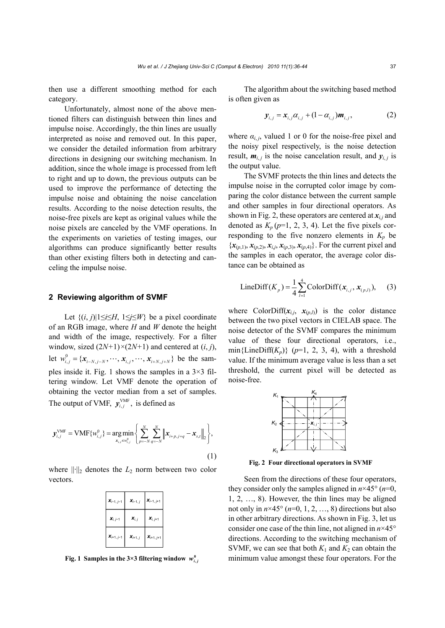then use a different smoothing method for each category.

Unfortunately, almost none of the above mentioned filters can distinguish between thin lines and impulse noise. Accordingly, the thin lines are usually interpreted as noise and removed out. In this paper, we consider the detailed information from arbitrary directions in designing our switching mechanism. In addition, since the whole image is processed from left to right and up to down, the previous outputs can be used to improve the performance of detecting the impulse noise and obtaining the noise cancelation results. According to the noise detection results, the noise-free pixels are kept as original values while the noise pixels are canceled by the VMF operations. In the experiments on varieties of testing images, our algorithms can produce significantly better results than other existing filters both in detecting and canceling the impulse noise.

#### **2 Reviewing algorithm of SVMF**

Let  $\{(i, j)|1 \leq i \leq H, 1 \leq j \leq W\}$  be a pixel coordinate of an RGB image, where *H* and *W* denote the height and width of the image, respectively. For a filter window, sized  $(2N+1) \times (2N+1)$  and centered at  $(i, j)$ , let  $w_{i,j}^0 = \{x_{i-N,j-N}, \cdots, x_{i,j}, \cdots, x_{i+N,j+N}\}\$  be the samples inside it. Fig. 1 shows the samples in a  $3\times3$  filtering window. Let VMF denote the operation of obtaining the vector median from a set of samples. The output of VMF,  $y_{i,j}^{\text{VMF}}$ , is defined as

$$
\mathbf{y}_{i,j}^{\text{VMF}} = \text{VMF}\{w_{i,j}^0\} = \underset{\mathbf{x}_{s,i} \in w_{i,j}^0}{\arg \min} \left\{ \sum_{p=-N}^N \sum_{q=-N}^N \left\| \mathbf{x}_{i+p,j+q} - \mathbf{x}_{s,t} \right\|_2 \right\},\tag{1}
$$

where  $\|\cdot\|_2$  denotes the  $L_2$  norm between two color vectors.

| $X_{i-1, j-1}$       | $x_{i-1,j}$          | $X_{i-1, j+1}$       |
|----------------------|----------------------|----------------------|
| $\mathbf{x}_{i,j-1}$ | $X_{i, j}$           | $\mathbf{x}_{i,j+1}$ |
| $X_{i+1, j-1}$       | $\mathbf{x}_{i+1,j}$ | $X_{i+1, j+1}$       |

The algorithm about the switching based method is often given as

$$
\mathbf{y}_{i,j} = \mathbf{x}_{i,j} \alpha_{i,j} + (1 - \alpha_{i,j}) \mathbf{m}_{i,j},
$$
 (2)

where  $\alpha_{i,j}$ , valued 1 or 0 for the noise-free pixel and the noisy pixel respectively, is the noise detection result,  $m_{i,j}$  is the noise cancelation result, and  $y_{i,j}$  is the output value.

The SVMF protects the thin lines and detects the impulse noise in the corrupted color image by comparing the color distance between the current sample and other samples in four directional operators. As shown in Fig. 2, these operators are centered at  $x_{i,j}$  and denoted as  $K_p (p=1, 2, 3, 4)$ . Let the five pixels corresponding to the five nonzero elements in  $K_p$  be  ${x_{(p,1)}, x_{(p,2)}, x_{i,j}, x_{(p,3)}, x_{(p,4)}}$ . For the current pixel and the samples in each operator, the average color distance can be obtained as

LineDiff(
$$
K_p
$$
) =  $\frac{1}{4} \sum_{i=1}^{4}$ ColorDiff( $x_{i,j}$ ,  $x_{(p,i)}$ ), (3)

where ColorDiff $(x_{i,j}, x_{(p,l)})$  is the color distance between the two pixel vectors in CIELAB space. The noise detector of the SVMF compares the minimum value of these four directional operators, i.e., min{LineDiff( $K_p$ )} ( $p=1, 2, 3, 4$ ), with a threshold value. If the minimum average value is less than a set threshold, the current pixel will be detected as noise-free.



**Fig. 2 Four directional operators in SVMF**

Seen from the directions of these four operators, they consider only the samples aligned in  $n \times 45^{\circ}$  ( $n=0$ , 1, 2, …, 8). However, the thin lines may be aligned not only in  $n \times 45^\circ$  ( $n=0, 1, 2, \ldots, 8$ ) directions but also in other arbitrary directions. As shown in Fig. 3, let us consider one case of the thin line, not aligned in *n*×45° directions. According to the switching mechanism of SVMF, we can see that both  $K_1$  and  $K_2$  can obtain the **Fig. 1 Samples in the 3×3 filtering window**  $w_{i,j}^0$  **minimum value amongst these four operators. For the**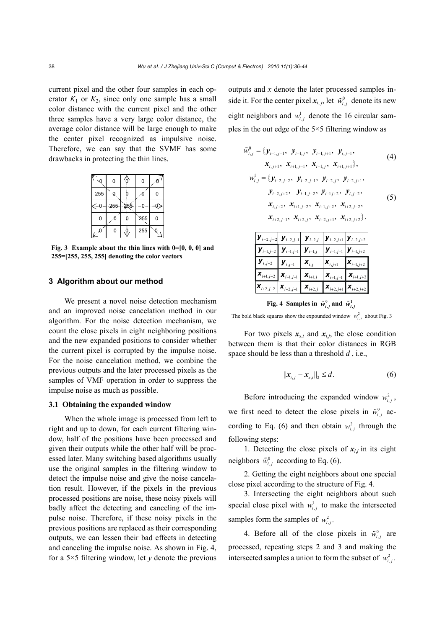current pixel and the other four samples in each operator  $K_1$  or  $K_2$ , since only one sample has a small color distance with the current pixel and the other three samples have a very large color distance, the average color distance will be large enough to make the center pixel recognized as impulsive noise. Therefore, we can say that the SVMF has some drawbacks in protecting the thin lines.

|                        | 0   | ò | 0   |   |
|------------------------|-----|---|-----|---|
| 255                    | Q   | ŀ |     | ი |
| ∕−∩                    | 255 |   |     |   |
| 0                      | n   |   | 255 | 0 |
| $\iota^{\mathfrak{g}}$ | 0   |   | 255 | đ |

**Fig. 3 Example about the thin lines with 0=[0, 0, 0] and 255=[255, 255, 255] denoting the color vectors** 

# **3 Algorithm about our method**

We present a novel noise detection mechanism and an improved noise cancelation method in our algorithm. For the noise detection mechanism, we count the close pixels in eight neighboring positions and the new expanded positions to consider whether the current pixel is corrupted by the impulse noise. For the noise cancelation method, we combine the previous outputs and the later processed pixels as the samples of VMF operation in order to suppress the impulse noise as much as possible.

# **3.1 Obtaining the expanded window**

When the whole image is processed from left to right and up to down, for each current filtering window, half of the positions have been processed and given their outputs while the other half will be processed later. Many switching based algorithms usually use the original samples in the filtering window to detect the impulse noise and give the noise cancelation result. However, if the pixels in the previous processed positions are noise, these noisy pixels will badly affect the detecting and canceling of the impulse noise. Therefore, if these noisy pixels in the previous positions are replaced as their corresponding outputs, we can lessen their bad effects in detecting and canceling the impulse noise. As shown in Fig. 4, for a  $5 \times 5$  filtering window, let *y* denote the previous outputs and *x* denote the later processed samples inside it. For the center pixel  $x_{i,j}$ , let  $\tilde{w}_{i,j}^0$  denote its new eight neighbors and  $w_{i,j}^1$  denote the 16 circular samples in the out edge of the 5×5 filtering window as

$$
\tilde{w}_{i,j}^0 = \{ y_{i-1,j-1}, \ y_{i-1,j}, \ y_{i-1,j+1}, \ y_{i,j-1}, \n x_{i,j+1}, \ x_{i+1,j-1}, \ x_{i+1,j}, \ x_{i+1,j+1} \},
$$
\n(4)

$$
w_{i,j}^1 = \{ y_{i-2,j-2}, y_{i-2,j-1}, y_{i-2,j}, y_{i-2,j+1}, y_{i-2,j+2}, y_{i-2,j+2}, y_{i-1,j-2}, y_{i-1,j+2}, y_{i,j-2}, y_{i,j-2}, x_{i,j+2}, x_{i+1,j-2}, x_{i+1,j+2}, x_{i+2,j-2}, x_{i+2,j-1}, x_{i+2,j}, x_{i+2,j+1}, x_{i+2,j+2} \}.
$$
\n
$$
(5)
$$

|                                                      |                                                                                                                                                                              |                          | $\boldsymbol{y}_{i-2,j-2}\Big \;\boldsymbol{y}_{i-2,j-1}\Big \;\, \boldsymbol{y}_{i-2,j}\;\left\lfloor \boldsymbol{y}_{i-2,j+1}\left\lvert \boldsymbol{y}_{i-2,j+2}\right.\right.$ |  |
|------------------------------------------------------|------------------------------------------------------------------------------------------------------------------------------------------------------------------------------|--------------------------|------------------------------------------------------------------------------------------------------------------------------------------------------------------------------------|--|
|                                                      | $\left  {\left. \boldsymbol{y}_{i-1,j-2} \right } \right. {\left  {\left. \boldsymbol{y}_{i-1,j-1} \right } \right.} \left. {\left. \boldsymbol{y}_{i-1,j} \right } \right.$ |                          | $\boldsymbol{y}_{i-1,j+1}$ $\boldsymbol{y}_{i-1,j+2}$                                                                                                                              |  |
| $\overline{\mathbf{y}}_{i,j-2}$ $\mathbf{y}_{i,j-1}$ |                                                                                                                                                                              | $\bm{X}_{i,j}$           | $\begin{bmatrix} \mathbf{X}_{i,j+1} & \mathbf{X}_{i-1,j+2} \end{bmatrix}$                                                                                                          |  |
|                                                      | $\mathbf{X}_{i+1,j-2}$ $\mathbf{X}_{i+1,j-1}$                                                                                                                                | $\boldsymbol{X}_{i+1,j}$ | $\boldsymbol{X}_{i+1,j+1}$ $\boldsymbol{X}_{i+1,j+2}$                                                                                                                              |  |
|                                                      | $\pmb{X}_{i+2,j-2}\left \pmb{X}_{i+2,j-1}\right  \left \pmb{X}_{i+2,j}\right  \left \pmb{X}_{i+2,j+1}\right  \pmb{X}_{i+2,j+2}$                                              |                          |                                                                                                                                                                                    |  |

**Fig. 4** Samples in  $\tilde{w}_{i,j}^0$  and  $\tilde{w}_{i,j}^1$ 

The bold black squares show the expounded window  $w_i^2$ , about Fig. 3

For two pixels  $x_{s,t}$  and  $x_{i,j}$ , the close condition between them is that their color distances in RGB space should be less than a threshold *d* , i.e.,

$$
\|\mathbf{x}_{i,j} - \mathbf{x}_{s,t}\|_2 \le d. \tag{6}
$$

Before introducing the expanded window  $w_i^2$ , we first need to detect the close pixels in  $\tilde{w}_{i,j}^0$  according to Eq. (6) and then obtain  $w_i^2$ , through the following steps:

1. Detecting the close pixels of  $x_{i,j}$  in its eight neighbors  $\tilde{w}_{i}^{0}$ , according to Eq. (6).

2. Getting the eight neighbors about one special close pixel according to the structure of Fig. 4.

3. Intersecting the eight neighbors about such special close pixel with  $w_i^j$  to make the intersected samples form the samples of  $w_{i,j}^2$ .

4. Before all of the close pixels in  $\tilde{w}_{i,j}^0$  are processed, repeating steps 2 and 3 and making the intersected samples a union to form the subset of  $w_{i,j}^2$ .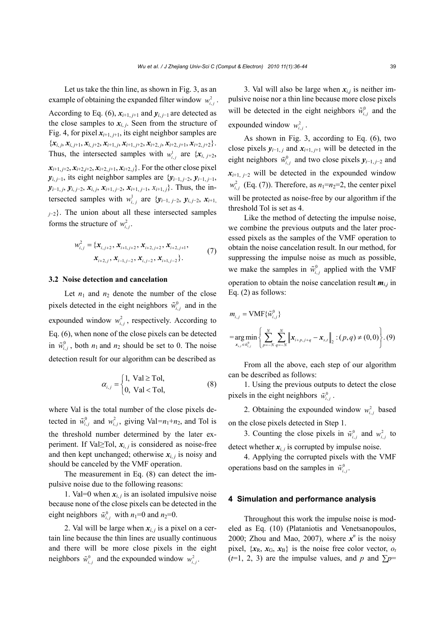Let us take the thin line, as shown in Fig. 3, as an example of obtaining the expanded filter window  $w_i^2$ ,

According to Eq. (6),  $x_{i+1,j+1}$  and  $y_{i,j-1}$  are detected as the close samples to  $x_{i,j}$ . Seen from the structure of Fig. 4, for pixel  $x_{i+1,i+1}$ , its eight neighbor samples are  $\{x_{i,j}, x_{i,j+1}, x_{i,j+2}, x_{i+1,j}, x_{i+1,j+2}, x_{i+2,j}, x_{i+2,j+1}, x_{i+2,j+2}\}.$ Thus, the intersected samples with  $w_i^1$  are  $\{x_{i, j+2},\}$  $x_{i+1, i+2}, x_{i+2, i+2}, x_{i+2, i+1}, x_{i+2, i}$ . For the other close pixel *y*<sub>*i*, *j*−1</sub>, its eight neighbor samples are  $\{y_{i-1, j-2}, y_{i-1, j-1}, \}$ *y*<sub>*i*</sub>−1, *j*, *y*<sub>*i*</sub>, *j*−2, *x*<sub>*i*</sub>, *j*, *x*<sub>*i*+1, *j*−2, *x*<sub>*i*+1, *j*−1, *x*<sub>*i*+1, *j*</sub>}. Thus, the in-</sub></sub> tersected samples with  $w_i^1$  *i* are  $\{y_{i-1, j-2}, y_{i, j-2}, x_{i+1}\}$ *<sup>j</sup>*−2}. The union about all these intersected samples forms the structure of  $w_{i,j}^2$ .

$$
w_{i,j}^2 = \{ \mathbf{x}_{i,j+2}, \mathbf{x}_{i+1,j+2}, \mathbf{x}_{i+2,j+2}, \mathbf{x}_{i+2,j+1}, \n\mathbf{x}_{i+2,j}, \mathbf{x}_{i-1,j-2}, \mathbf{x}_{i,j-2}, \mathbf{x}_{i+1,j-2} \}.
$$
\n(7)

# **3.2 Noise detection and cancelation**

Let  $n_1$  and  $n_2$  denote the number of the close pixels detected in the eight neighbors  $\tilde{w}_{i,j}^0$  and in the expounded window  $w_{i,j}^2$ , respectively. According to Eq. (6), when none of the close pixels can be detected in  $\tilde{w}_{i,j}^0$ , both  $n_1$  and  $n_2$  should be set to 0. The noise detection result for our algorithm can be described as

$$
\alpha_{i,j} = \begin{cases} 1, \text{ Val} \geq \text{ Tol}, \\ 0, \text{ Val} < \text{ Tol}, \end{cases} \tag{8}
$$

where Val is the total number of the close pixels detected in  $\tilde{w}_{i,j}^0$  and  $w_{i,j}^2$ , giving Val= $n_1+n_2$ , and Tol is the threshold number determined by the later experiment. If Val≥Tol,  $x_i$  *j* is considered as noise-free and then kept unchanged; otherwise  $x_{i,j}$  is noisy and should be canceled by the VMF operation.

The measurement in Eq. (8) can detect the impulsive noise due to the following reasons:

1. Val=0 when  $x_i$ , *j* is an isolated impulsive noise because none of the close pixels can be detected in the eight neighbors  $\tilde{w}_{i,j}^0$  with  $n_1=0$  and  $n_2=0$ .

2. Val will be large when  $x_{i,j}$  is a pixel on a certain line because the thin lines are usually continuous and there will be more close pixels in the eight neighbors  $\tilde{w}_{i,j}^0$  and the expounded window  $w_{i,j}^2$ .

3. Val will also be large when  $x_{i,j}$  is neither impulsive noise nor a thin line because more close pixels will be detected in the eight neighbors  $\tilde{w}_{i,j}^0$  and the expounded window  $w_i^2$ .

As shown in Fig. 3, according to Eq. (6), two close pixels  $y_{i-1,j}$  and  $x_{i+1,j+1}$  will be detected in the eight neighbors  $\tilde{w}_i^0$ , and two close pixels  $y_{i-1, j-2}$  and  $x_{i+1, i-2}$  will be detected in the expounded window  $w<sub>i,j</sub>$  (Eq. (7)). Therefore, as  $n_1=n_2=2$ , the center pixel will be protected as noise-free by our algorithm if the threshold Tol is set as 4.

Like the method of detecting the impulse noise, we combine the previous outputs and the later processed pixels as the samples of the VMF operation to obtain the noise cancelation result. In our method, for suppressing the impulse noise as much as possible, we make the samples in  $\tilde{w}^0_{i,j}$  applied with the VMF operation to obtain the noise cancelation result  $m_{i,j}$  in Eq. (2) as follows:

$$
m_{i,j} = \text{VMF}\{\tilde{w}_{i,j}^0\}
$$
  
= arg min  $\left\{\sum_{x_{s,t} \in \tilde{w}_{i,j}^0}^{N} \left\|\mathbf{x}_{i+p,j+q} - \mathbf{x}_{s,t}\right\|_2 : (p,q) \neq (0,0)\right\}$ . (9)

From all the above, each step of our algorithm can be described as follows:

1. Using the previous outputs to detect the close pixels in the eight neighbors  $\tilde{w}_{i,j}^0$ .

2. Obtaining the expounded window  $w_i^2$ , based on the close pixels detected in Step 1.

3. Counting the close pixels in  $\tilde{w}_{i,j}^0$  and  $w_{i,j}^2$  to detect whether  $x_i$ , is corrupted by impulse noise.

4. Applying the corrupted pixels with the VMF operations basd on the samples in  $\tilde{w}_{i,j}^0$ .

## **4 Simulation and performance analysis**

Throughout this work the impulse noise is modeled as Eq. (10) (Plataniotis and Venetsanopoulos, 2000; Zhou and Mao, 2007), where  $x^n$  is the noisy pixel,  $\{x_R, x_G, x_B\}$  is the noise free color vector,  $o_t$ ( $t=1, 2, 3$ ) are the impulse values, and p and  $\Sigma p=$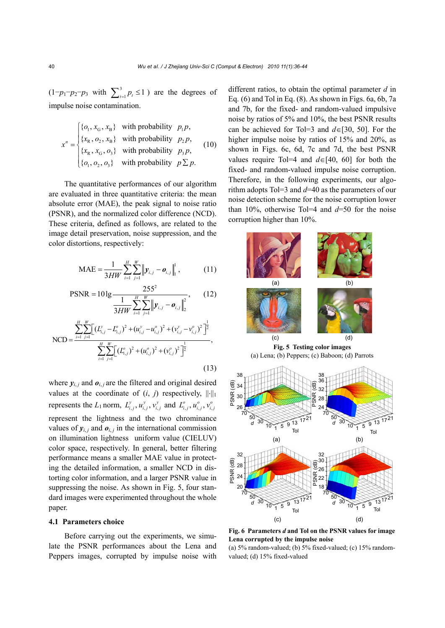$(1-p_1-p_2-p_3 \text{ with } \sum_{t=1}^3 p_t \leq 1)$  are the degrees of impulse noise contamination.

$$
x^n = \begin{cases} \{o_1, x_G, x_B\} & \text{with probability } p_1 p, \\ \{x_R, o_2, x_B\} & \text{with probability } p_2 p, \\ \{x_R, x_G, o_3\} & \text{with probability } p_3 p, \\ \{o_1, o_2, o_3\} & \text{with probability } p \sum p. \end{cases} \tag{10}
$$

The quantitative performances of our algorithm are evaluated in three quantitative criteria: the mean absolute error (MAE), the peak signal to noise ratio (PSNR), and the normalized color difference (NCD). These criteria, defined as follows, are related to the image detail preservation, noise suppression, and the color distortions, respectively:

$$
\text{MAE} = \frac{1}{3HW} \sum_{i=1}^{H} \sum_{j=1}^{W} \left\| \mathbf{y}_{i,j} - \mathbf{o}_{i,j} \right\|_{1}^{1}, \quad (11)
$$

$$
PSNR = 10 \lg \frac{255^2}{\frac{1}{3HW} \sum_{i=1}^{H} \sum_{j=1}^{W} ||\mathbf{y}_{i,j} - \mathbf{o}_{i,j}||_2^2},
$$
 (12)

$$
NCD = \frac{\sum_{i=1}^{H} \sum_{j=1}^{W} \left[ (L_{i,j}^{y} - L_{i,j}^{o})^{2} + (u_{i,j}^{y} - u_{i,j}^{o})^{2} + (v_{i,j}^{y} - v_{i,j}^{o})^{2} \right]^{2}}{\sum_{i=1}^{H} \sum_{j=1}^{W} \left[ (L_{i,j}^{o})^{2} + (u_{i,j}^{o})^{2} + (v_{i,j}^{o})^{2} \right]^{2}} ,
$$
\n(13)

where  $y_{i,j}$  and  $\boldsymbol{o}_{i,j}$  are the filtered and original desired values at the coordinate of  $(i, j)$  respectively,  $\|\cdot\|_1$ represents the  $L_1$  norm,  $L_{i,j}^y$ ,  $u_{i,j}^y$ ,  $v_{i,j}^y$  and  $L_{i,j}^o$ ,  $u_{i,j}^o$ ,  $v_{i,j}^o$ represent the lightness and the two chrominance values of  $y_{i,i}$  and  $\boldsymbol{o}_{i,i}$  in the international commission on illumination lightness uniform value (CIELUV) color space, respectively. In general, better filtering performance means a smaller MAE value in protecting the detailed information, a smaller NCD in distorting color information, and a larger PSNR value in suppressing the noise. As shown in Fig. 5, four standard images were experimented throughout the whole paper.

#### **4.1 Parameters choice**

Before carrying out the experiments, we simulate the PSNR performances about the Lena and Peppers images, corrupted by impulse noise with different ratios, to obtain the optimal parameter *d* in Eq. (6) and Tol in Eq. (8). As shown in Figs. 6a, 6b, 7a and 7b, for the fixed- and random-valued impulsive noise by ratios of 5% and 10%, the best PSNR results can be achieved for Tol=3 and *d*∈[30, 50]. For the higher impulse noise by ratios of 15% and 20%, as shown in Figs. 6c, 6d, 7c and 7d, the best PSNR values require Tol=4 and *d*∈[40, 60] for both the fixed- and random-valued impulse noise corruption. Therefore, in the following experiments, our algorithm adopts Tol=3 and *d*=40 as the parameters of our noise detection scheme for the noise corruption lower than 10%, otherwise Tol=4 and *d*=50 for the noise corruption higher than 10%.



**Fig. 6 Parameters** *d* **and Tol on the PSNR values for image Lena corrupted by the impulse noise** 

(a)  $5\%$  random-valued; (b)  $5\%$  fixed-valued; (c)  $15\%$  randomvalued; (d) 15% fixed-valued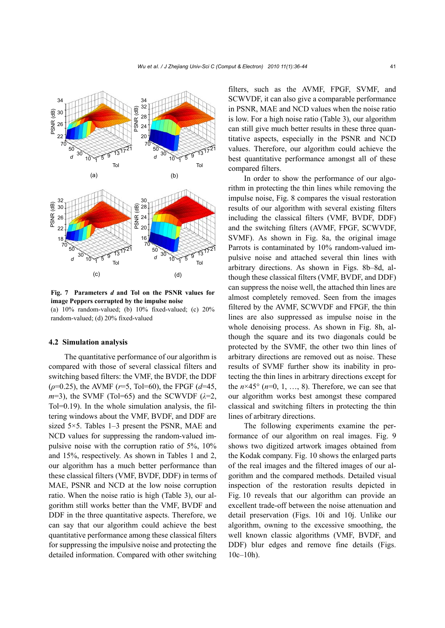

**Fig. 7 Parameters** *d* **and Tol on the PSNR values for image Peppers corrupted by the impulse noise**  (a)  $10\%$  random-valued; (b)  $10\%$  fixed-valued; (c)  $20\%$ random-valued; (d) 20% fixed-valued

#### **4.2 Simulation analysis**

The quantitative performance of our algorithm is compared with those of several classical filters and switching based filters: the VMF, the BVDF, the DDF (*ρ*=0.25), the AVMF (*r*=5, Tol=60), the FPGF (*d*=45,  $m=3$ ), the SVMF (Tol=65) and the SCWVDF ( $\lambda=2$ , Tol=0.19). In the whole simulation analysis, the filtering windows about the VMF, BVDF, and DDF are sized 5×5. Tables 1–3 present the PSNR, MAE and NCD values for suppressing the random-valued impulsive noise with the corruption ratio of 5%, 10% and 15%, respectively. As shown in Tables 1 and 2, our algorithm has a much better performance than these classical filters (VMF, BVDF, DDF) in terms of MAE, PSNR and NCD at the low noise corruption ratio. When the noise ratio is high (Table 3), our algorithm still works better than the VMF, BVDF and DDF in the three quantitative aspects. Therefore, we can say that our algorithm could achieve the best quantitative performance among these classical filters for suppressing the impulsive noise and protecting the detailed information. Compared with other switching

filters, such as the AVMF, FPGF, SVMF, and SCWVDF, it can also give a comparable performance in PSNR, MAE and NCD values when the noise ratio is low. For a high noise ratio (Table 3), our algorithm can still give much better results in these three quantitative aspects, especially in the PSNR and NCD values. Therefore, our algorithm could achieve the best quantitative performance amongst all of these compared filters.

In order to show the performance of our algorithm in protecting the thin lines while removing the impulse noise, Fig. 8 compares the visual restoration results of our algorithm with several existing filters including the classical filters (VMF, BVDF, DDF) and the switching filters (AVMF, FPGF, SCWVDF, SVMF). As shown in Fig. 8a, the original image Parrots is contaminated by 10% random-valued impulsive noise and attached several thin lines with arbitrary directions. As shown in Figs. 8b–8d, although these classical filters (VMF, BVDF, and DDF) can suppress the noise well, the attached thin lines are almost completely removed. Seen from the images filtered by the AVMF, SCWVDF and FPGF, the thin lines are also suppressed as impulse noise in the whole denoising process. As shown in Fig. 8h, although the square and its two diagonals could be protected by the SVMF, the other two thin lines of arbitrary directions are removed out as noise. These results of SVMF further show its inability in protecting the thin lines in arbitrary directions except for the  $n \times 45^{\circ}$  ( $n=0, 1, ..., 8$ ). Therefore, we can see that our algorithm works best amongst these compared classical and switching filters in protecting the thin lines of arbitrary directions.

The following experiments examine the performance of our algorithm on real images. Fig. 9 shows two digitized artwork images obtained from the Kodak company. Fig. 10 shows the enlarged parts of the real images and the filtered images of our algorithm and the compared methods. Detailed visual inspection of the restoration results depicted in Fig. 10 reveals that our algorithm can provide an excellent trade-off between the noise attenuation and detail preservation (Figs. 10i and 10j. Unlike our algorithm, owning to the excessive smoothing, the well known classic algorithms (VMF, BVDF, and DDF) blur edges and remove fine details (Figs.  $10c-10h$ ).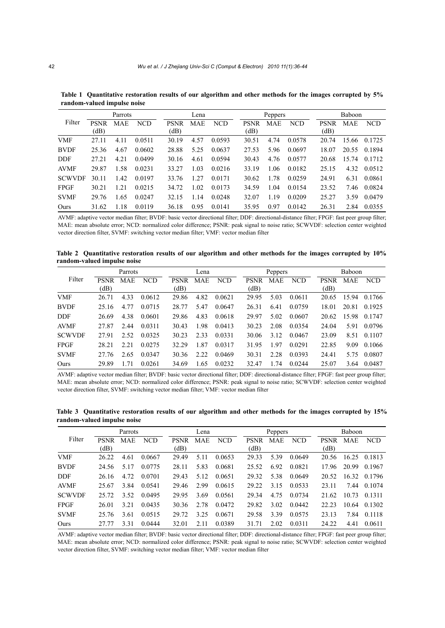|               | Parrots             |            |            |                     | Lena       |            |  |                     | Peppers    |            | Baboon              |            |            |  |
|---------------|---------------------|------------|------------|---------------------|------------|------------|--|---------------------|------------|------------|---------------------|------------|------------|--|
| Filter        | <b>PSNR</b><br>(dB) | <b>MAE</b> | <b>NCD</b> | <b>PSNR</b><br>(dB) | <b>MAE</b> | <b>NCD</b> |  | <b>PSNR</b><br>(dB) | <b>MAE</b> | <b>NCD</b> | <b>PSNR</b><br>(dB) | <b>MAE</b> | <b>NCD</b> |  |
| <b>VMF</b>    | 27.11               | 4.11       | 0.0511     | 30.19               | 4.57       | 0.0593     |  | 30.51               | 4.74       | 0.0578     | 20.74               | 15.66      | 0.1725     |  |
| <b>BVDF</b>   | 25.36               | 4.67       | 0.0602     | 28.88               | 5.25       | 0.0637     |  | 27.53               | 5.96       | 0.0697     | 18.07               | 20.55      | 0.1894     |  |
| <b>DDF</b>    | 27.21               | 4.21       | 0.0499     | 30.16               | 4.61       | 0.0594     |  | 30.43               | 4.76       | 0.0577     | 20.68               | 15.74      | 0.1712     |  |
| <b>AVMF</b>   | 29.87               | 1.58       | 0.0231     | 33.27               | 1.03       | 0.0216     |  | 33.19               | 1.06       | 0.0182     | 25.15               | 4.32       | 0.0512     |  |
| <b>SCWVDF</b> | 30.11               | 1.42       | 0.0197     | 33.76               | 1.27       | 0.0171     |  | 30.62               | 1.78       | 0.0259     | 24.91               | 6.31       | 0.0861     |  |
| <b>FPGF</b>   | 30.21               | 1.21       | 0.0215     | 34.72               | 1.02       | 0.0173     |  | 34.59               | 1.04       | 0.0154     | 23.52               | 7.46       | 0.0824     |  |
| <b>SVMF</b>   | 29.76               | 1.65       | 0.0247     | 32.15               | 1.14       | 0.0248     |  | 32.07               | 1.19       | 0.0209     | 25.27               | 3.59       | 0.0479     |  |
| Ours          | 31.62               | 1.18       | 0.0119     | 36.18               | 0.95       | 0.0141     |  | 35.95               | 0.97       | 0.0142     | 26.31               | 2.84       | 0.0355     |  |

**Table 1 Quantitative restoration results of our algorithm and other methods for the images corrupted by 5% random-valued impulse noise** 

AVMF: adaptive vector median filter; BVDF: basic vector directional filter; DDF: directional-distance filter; FPGF: fast peer group filter; MAE: mean absolute error; NCD: normalized color difference; PSNR: peak signal to noise ratio; SCWVDF: selection center weighted vector direction filter, SVMF: switching vector median filter; VMF: vector median filter

**Table 2 Quantitative restoration results of our algorithm and other methods for the images corrupted by 10% random-valued impulse noise** 

|               | Parrots     |            |            |             | Lena       |            |  |             | Peppers    |            |             | Baboon |            |  |
|---------------|-------------|------------|------------|-------------|------------|------------|--|-------------|------------|------------|-------------|--------|------------|--|
| Filter        | <b>PSNR</b> | <b>MAE</b> | <b>NCD</b> | <b>PSNR</b> | <b>MAE</b> | <b>NCD</b> |  | <b>PSNR</b> | <b>MAE</b> | <b>NCD</b> | <b>PSNR</b> | MAE    | <b>NCD</b> |  |
|               | (dB)        |            |            | (dB)        |            |            |  | (dB)        |            |            | (dB)        |        |            |  |
| <b>VMF</b>    | 26.71       | 4.33       | 0.0612     | 29.86       | 4.82       | 0.0621     |  | 29.95       | 5.03       | 0.0611     | 20.65       | 15.94  | 0.1766     |  |
| <b>BVDF</b>   | 25.16       | 4.77       | 0.0715     | 28.77       | 5.47       | 0.0647     |  | 26.31       | 6.41       | 0.0759     | 18.01       | 20.81  | 0.1925     |  |
| <b>DDF</b>    | 26.69       | 4.38       | 0.0601     | 29.86       | 4.83       | 0.0618     |  | 29.97       | 5.02       | 0.0607     | 20.62       | 15.98  | 0.1747     |  |
| AVMF          | 27.87       | 2.44       | 0.0311     | 30.43       | 1.98       | 0.0413     |  | 30.23       | 2.08       | 0.0354     | 24.04       | 5.91   | 0.0796     |  |
| <b>SCWVDF</b> | 27.91       | 2.52       | 0.0325     | 30.23       | 2.33       | 0.0331     |  | 30.06       | 3.12       | 0.0467     | 23.09       | 8.51   | 0.1107     |  |
| <b>FPGF</b>   | 28.21       | 2.21       | 0.0275     | 32.29       | 1.87       | 0.0317     |  | 31.95       | 1.97       | 0.0291     | 22.85       | 9.09   | 0.1066     |  |
| <b>SVMF</b>   | 27.76       | 2.65       | 0.0347     | 30.36       | 2.22       | 0.0469     |  | 30.31       | 2.28       | 0.0393     | 24.41       | 5.75   | 0.0807     |  |
| Ours          | 29.89       | 1.71       | 0.0261     | 34.69       | 1.65       | 0.0232     |  | 32.47       | 1.74       | 0.0244     | 25.07       | 3.64   | 0.0487     |  |

AVMF: adaptive vector median filter; BVDF: basic vector directional filter; DDF: directional-distance filter; FPGF: fast peer group filter; MAE: mean absolute error; NCD: normalized color difference; PSNR: peak signal to noise ratio; SCWVDF: selection center weighted vector direction filter, SVMF: switching vector median filter; VMF: vector median filter

**Table 3 Quantitative restoration results of our algorithm and other methods for the images corrupted by 15% random-valued impulse noise** 

| Parrots       |                     |      |            | Lena                |            |            |  | Peppers             |            | Baboon     |                     |            |            |
|---------------|---------------------|------|------------|---------------------|------------|------------|--|---------------------|------------|------------|---------------------|------------|------------|
| Filter        | <b>PSNR</b><br>(dB) | MAE  | <b>NCD</b> | <b>PSNR</b><br>(dB) | <b>MAE</b> | <b>NCD</b> |  | <b>PSNR</b><br>(dB) | <b>MAE</b> | <b>NCD</b> | <b>PSNR</b><br>(dB) | <b>MAE</b> | <b>NCD</b> |
| VMF           | 26.22               | 4.61 | 0.0667     | 29.49               | 5.11       | 0.0653     |  | 29.33               | 5.39       | 0.0649     | 20.56               | 16.25      | 0.1813     |
| <b>BVDF</b>   | 24.56               | 5.17 | 0.0775     | 28.11               | 5.83       | 0.0681     |  | 25.52               | 6.92       | 0.0821     | 17.96               | 20.99      | 0.1967     |
| DDF           | 26.16               | 4.72 | 0.0701     | 29.43               | 5.12       | 0.0651     |  | 29.32               | 5.38       | 0.0649     | 20.52               | 16.32      | 0.1796     |
| AVMF          | 25.67               | 3.84 | 0.0541     | 29.46               | 2.99       | 0.0615     |  | 29.22               | 3.15       | 0.0533     | 23.11               | 7.44       | 0.1074     |
| <b>SCWVDF</b> | 25.72               | 3.52 | 0.0495     | 29.95               | 3.69       | 0.0561     |  | 29.34               | 4.75       | 0.0734     | 21.62               | 10.73      | 0.1311     |
| FPGF          | 26.01               | 3.21 | 0.0435     | 30.36               | 2.78       | 0.0472     |  | 29.82               | 3.02       | 0.0442     | 22.23               | 10.64      | 0.1302     |
| <b>SVMF</b>   | 25.76               | 3.61 | 0.0515     | 29.72               | 3.25       | 0.0671     |  | 29.58               | 3.39       | 0.0575     | 23.13               | 7.84       | 0.1118     |
| Ours          | 27 77               | 3.31 | 0.0444     | 32.01               | 2.11       | 0.0389     |  | 31.71               | 2.02       | 0.0311     | 24.22               | 4.41       | 0.0611     |

AVMF: adaptive vector median filter; BVDF: basic vector directional filter; DDF: directional-distance filter; FPGF: fast peer group filter; MAE: mean absolute error; NCD: normalized color difference; PSNR: peak signal to noise ratio; SCWVDF: selection center weighted vector direction filter, SVMF: switching vector median filter; VMF: vector median filter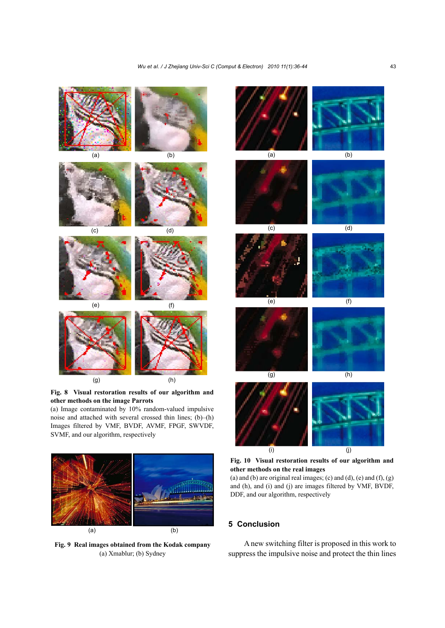

noise and attached with several crossed thin lines; (b)–(h) Images filtered by VMF, BVDF, AVMF, FPGF, SWVDF, SVMF, and our algorithm, respectively



**Fig. 9 Real images obtained from the Kodak company**  (a) Xmablur; (b) Sydney

**Fig. 10 Visual restoration results of our algorithm and other methods on the real images** 

(j)

(a) and (b) are original real images; (c) and (d), (e) and  $(f)$ ,  $(g)$ and (h), and (i) and (j) are images filtered by VMF, BVDF, DDF, and our algorithm, respectively

# **5 Conclusion**

(i)

A new switching filter is proposed in this work to suppress the impulsive noise and protect the thin lines